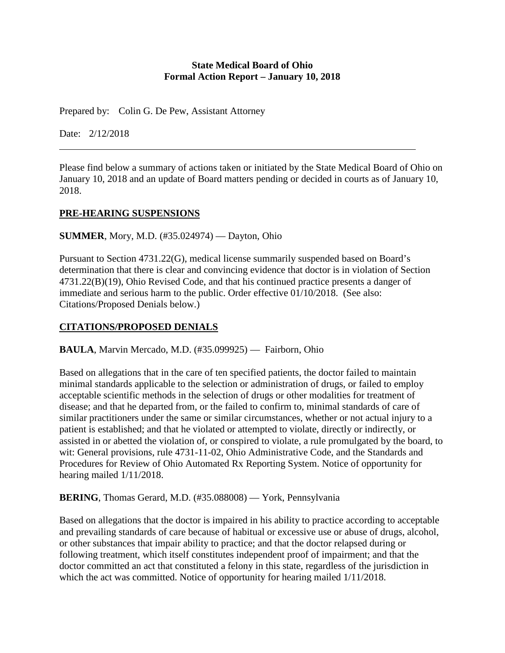#### **State Medical Board of Ohio Formal Action Report – January 10, 2018**

Prepared by: Colin G. De Pew, Assistant Attorney

Date: 2/12/2018

Please find below a summary of actions taken or initiated by the State Medical Board of Ohio on January 10, 2018 and an update of Board matters pending or decided in courts as of January 10, 2018.

### **PRE-HEARING SUSPENSIONS**

**SUMMER**, Mory, M.D. (#35.024974) — Dayton, Ohio

Pursuant to Section 4731.22(G), medical license summarily suspended based on Board's determination that there is clear and convincing evidence that doctor is in violation of Section 4731.22(B)(19), Ohio Revised Code, and that his continued practice presents a danger of immediate and serious harm to the public. Order effective 01/10/2018. (See also: Citations/Proposed Denials below.)

### **CITATIONS/PROPOSED DENIALS**

**BAULA**, Marvin Mercado, M.D. (#35.099925) — Fairborn, Ohio

Based on allegations that in the care of ten specified patients, the doctor failed to maintain minimal standards applicable to the selection or administration of drugs, or failed to employ acceptable scientific methods in the selection of drugs or other modalities for treatment of disease; and that he departed from, or the failed to confirm to, minimal standards of care of similar practitioners under the same or similar circumstances, whether or not actual injury to a patient is established; and that he violated or attempted to violate, directly or indirectly, or assisted in or abetted the violation of, or conspired to violate, a rule promulgated by the board, to wit: General provisions, rule 4731-11-02, Ohio Administrative Code, and the Standards and Procedures for Review of Ohio Automated Rx Reporting System. Notice of opportunity for hearing mailed 1/11/2018.

**BERING**, Thomas Gerard, M.D. (#35.088008) — York, Pennsylvania

Based on allegations that the doctor is impaired in his ability to practice according to acceptable and prevailing standards of care because of habitual or excessive use or abuse of drugs, alcohol, or other substances that impair ability to practice; and that the doctor relapsed during or following treatment, which itself constitutes independent proof of impairment; and that the doctor committed an act that constituted a felony in this state, regardless of the jurisdiction in which the act was committed. Notice of opportunity for hearing mailed  $1/11/2018$ .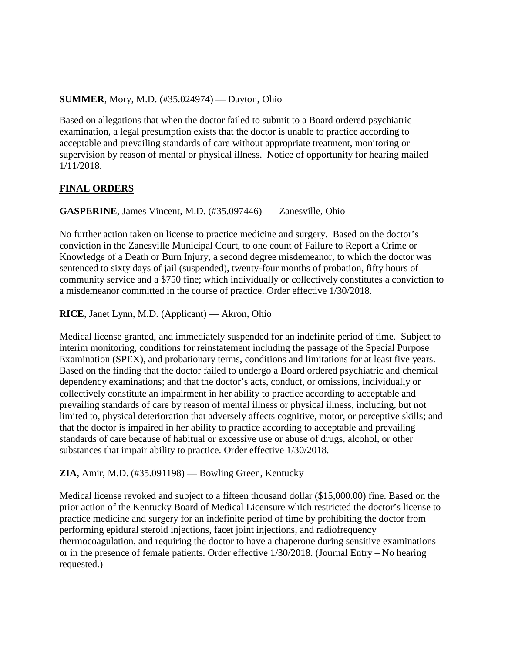### **SUMMER**, Mory, M.D. (#35.024974) — Dayton, Ohio

Based on allegations that when the doctor failed to submit to a Board ordered psychiatric examination, a legal presumption exists that the doctor is unable to practice according to acceptable and prevailing standards of care without appropriate treatment, monitoring or supervision by reason of mental or physical illness. Notice of opportunity for hearing mailed 1/11/2018.

# **FINAL ORDERS**

**GASPERINE**, James Vincent, M.D. (#35.097446) — Zanesville, Ohio

No further action taken on license to practice medicine and surgery. Based on the doctor's conviction in the Zanesville Municipal Court, to one count of Failure to Report a Crime or Knowledge of a Death or Burn Injury, a second degree misdemeanor, to which the doctor was sentenced to sixty days of jail (suspended), twenty-four months of probation, fifty hours of community service and a \$750 fine; which individually or collectively constitutes a conviction to a misdemeanor committed in the course of practice. Order effective 1/30/2018.

**RICE**, Janet Lynn, M.D. (Applicant) — Akron, Ohio

Medical license granted, and immediately suspended for an indefinite period of time. Subject to interim monitoring, conditions for reinstatement including the passage of the Special Purpose Examination (SPEX), and probationary terms, conditions and limitations for at least five years. Based on the finding that the doctor failed to undergo a Board ordered psychiatric and chemical dependency examinations; and that the doctor's acts, conduct, or omissions, individually or collectively constitute an impairment in her ability to practice according to acceptable and prevailing standards of care by reason of mental illness or physical illness, including, but not limited to, physical deterioration that adversely affects cognitive, motor, or perceptive skills; and that the doctor is impaired in her ability to practice according to acceptable and prevailing standards of care because of habitual or excessive use or abuse of drugs, alcohol, or other substances that impair ability to practice. Order effective 1/30/2018.

### **ZIA**, Amir, M.D. (#35.091198) — Bowling Green, Kentucky

Medical license revoked and subject to a fifteen thousand dollar (\$15,000.00) fine. Based on the prior action of the Kentucky Board of Medical Licensure which restricted the doctor's license to practice medicine and surgery for an indefinite period of time by prohibiting the doctor from performing epidural steroid injections, facet joint injections, and radiofrequency thermocoagulation, and requiring the doctor to have a chaperone during sensitive examinations or in the presence of female patients. Order effective 1/30/2018. (Journal Entry – No hearing requested.)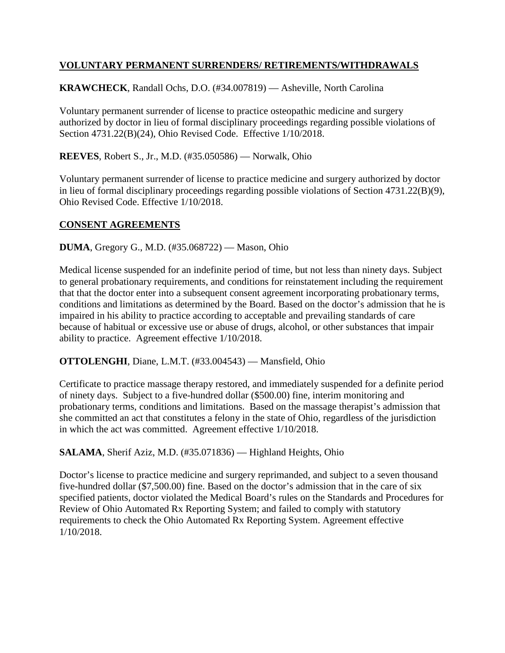# **VOLUNTARY PERMANENT SURRENDERS/ RETIREMENTS/WITHDRAWALS**

**KRAWCHECK**, Randall Ochs, D.O. (#34.007819) — Asheville, North Carolina

Voluntary permanent surrender of license to practice osteopathic medicine and surgery authorized by doctor in lieu of formal disciplinary proceedings regarding possible violations of Section 4731.22(B)(24), Ohio Revised Code. Effective 1/10/2018.

**REEVES**, Robert S., Jr., M.D. (#35.050586) — Norwalk, Ohio

Voluntary permanent surrender of license to practice medicine and surgery authorized by doctor in lieu of formal disciplinary proceedings regarding possible violations of Section 4731.22(B)(9), Ohio Revised Code. Effective 1/10/2018.

# **CONSENT AGREEMENTS**

**DUMA**, Gregory G., M.D. (#35.068722) — Mason, Ohio

Medical license suspended for an indefinite period of time, but not less than ninety days. Subject to general probationary requirements, and conditions for reinstatement including the requirement that that the doctor enter into a subsequent consent agreement incorporating probationary terms, conditions and limitations as determined by the Board. Based on the doctor's admission that he is impaired in his ability to practice according to acceptable and prevailing standards of care because of habitual or excessive use or abuse of drugs, alcohol, or other substances that impair ability to practice. Agreement effective 1/10/2018.

**OTTOLENGHI**, Diane, L.M.T. (#33.004543) — Mansfield, Ohio

Certificate to practice massage therapy restored, and immediately suspended for a definite period of ninety days. Subject to a five-hundred dollar (\$500.00) fine, interim monitoring and probationary terms, conditions and limitations. Based on the massage therapist's admission that she committed an act that constitutes a felony in the state of Ohio, regardless of the jurisdiction in which the act was committed. Agreement effective 1/10/2018.

**SALAMA**, Sherif Aziz, M.D. (#35.071836) — Highland Heights, Ohio

Doctor's license to practice medicine and surgery reprimanded, and subject to a seven thousand five-hundred dollar (\$7,500.00) fine. Based on the doctor's admission that in the care of six specified patients, doctor violated the Medical Board's rules on the Standards and Procedures for Review of Ohio Automated Rx Reporting System; and failed to comply with statutory requirements to check the Ohio Automated Rx Reporting System. Agreement effective 1/10/2018.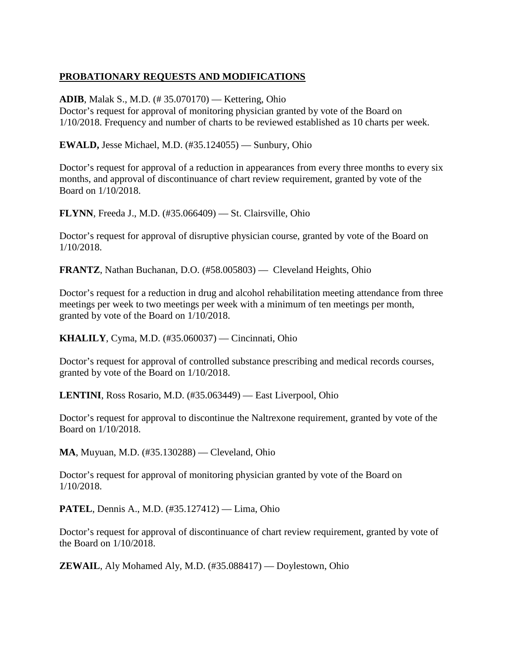# **PROBATIONARY REQUESTS AND MODIFICATIONS**

**ADIB**, Malak S., M.D. (# 35.070170) — Kettering, Ohio

Doctor's request for approval of monitoring physician granted by vote of the Board on 1/10/2018. Frequency and number of charts to be reviewed established as 10 charts per week.

**EWALD,** Jesse Michael, M.D. (#35.124055) — Sunbury, Ohio

Doctor's request for approval of a reduction in appearances from every three months to every six months, and approval of discontinuance of chart review requirement, granted by vote of the Board on 1/10/2018.

**FLYNN**, Freeda J., M.D. (#35.066409) — St. Clairsville, Ohio

Doctor's request for approval of disruptive physician course, granted by vote of the Board on 1/10/2018.

**FRANTZ**, Nathan Buchanan, D.O. (#58.005803) — Cleveland Heights, Ohio

Doctor's request for a reduction in drug and alcohol rehabilitation meeting attendance from three meetings per week to two meetings per week with a minimum of ten meetings per month, granted by vote of the Board on 1/10/2018.

**KHALILY**, Cyma, M.D. (#35.060037) — Cincinnati, Ohio

Doctor's request for approval of controlled substance prescribing and medical records courses, granted by vote of the Board on 1/10/2018.

**LENTINI**, Ross Rosario, M.D. (#35.063449) — East Liverpool, Ohio

Doctor's request for approval to discontinue the Naltrexone requirement, granted by vote of the Board on 1/10/2018.

**MA**, Muyuan, M.D. (#35.130288) — Cleveland, Ohio

Doctor's request for approval of monitoring physician granted by vote of the Board on 1/10/2018.

**PATEL**, Dennis A., M.D. (#35.127412) — Lima, Ohio

Doctor's request for approval of discontinuance of chart review requirement, granted by vote of the Board on 1/10/2018.

**ZEWAIL**, Aly Mohamed Aly, M.D. (#35.088417) — Doylestown, Ohio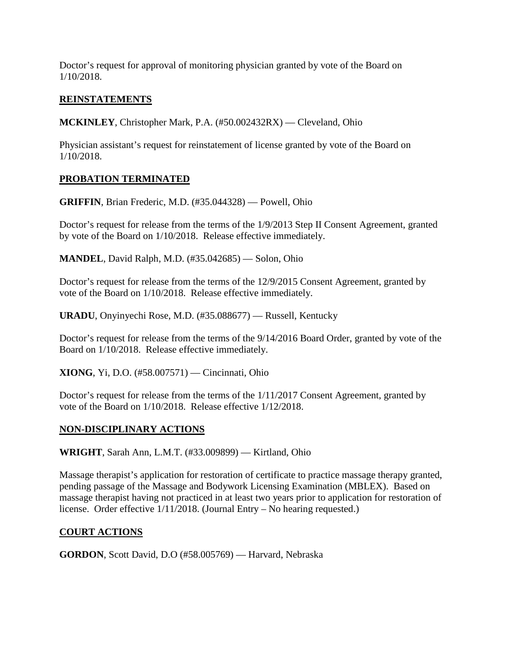Doctor's request for approval of monitoring physician granted by vote of the Board on 1/10/2018.

### **REINSTATEMENTS**

**MCKINLEY**, Christopher Mark, P.A. (#50.002432RX) — Cleveland, Ohio

Physician assistant's request for reinstatement of license granted by vote of the Board on 1/10/2018.

# **PROBATION TERMINATED**

**GRIFFIN**, Brian Frederic, M.D. (#35.044328) — Powell, Ohio

Doctor's request for release from the terms of the 1/9/2013 Step II Consent Agreement, granted by vote of the Board on 1/10/2018. Release effective immediately.

**MANDEL**, David Ralph, M.D. (#35.042685) — Solon, Ohio

Doctor's request for release from the terms of the 12/9/2015 Consent Agreement, granted by vote of the Board on 1/10/2018. Release effective immediately.

**URADU**, Onyinyechi Rose, M.D. (#35.088677) — Russell, Kentucky

Doctor's request for release from the terms of the 9/14/2016 Board Order, granted by vote of the Board on 1/10/2018. Release effective immediately.

**XIONG**, Yi, D.O. (#58.007571) — Cincinnati, Ohio

Doctor's request for release from the terms of the 1/11/2017 Consent Agreement, granted by vote of the Board on 1/10/2018. Release effective 1/12/2018.

### **NON-DISCIPLINARY ACTIONS**

**WRIGHT**, Sarah Ann, L.M.T. (#33.009899) — Kirtland, Ohio

Massage therapist's application for restoration of certificate to practice massage therapy granted, pending passage of the Massage and Bodywork Licensing Examination (MBLEX). Based on massage therapist having not practiced in at least two years prior to application for restoration of license. Order effective  $1/11/2018$ . (Journal Entry – No hearing requested.)

### **COURT ACTIONS**

**GORDON**, Scott David, D.O (#58.005769) — Harvard, Nebraska